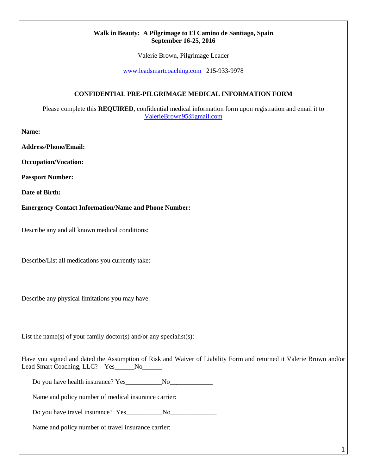## **Walk in Beauty: A Pilgrimage to El Camino de Santiago, Spain September 16-25, 2016**

Valerie Brown, Pilgrimage Leader

[www.leadsmartcoaching.com](http://www.leadsmartcoaching.com/) 215-933-9978

## **CONFIDENTIAL PRE-PILGRIMAGE MEDICAL INFORMATION FORM**

Please complete this **REQUIRED**, confidential medical information form upon registration and email it to [ValerieBrown95@gmail.com](mailto:ValerieBrown95@gmail.com) 

**Name:**

**Address/Phone/Email:**

**Occupation/Vocation:**

**Passport Number:**

**Date of Birth:**

**Emergency Contact Information/Name and Phone Number:**

Describe any and all known medical conditions:

Describe/List all medications you currently take:

Describe any physical limitations you may have:

List the name(s) of your family doctor(s) and/or any specialist(s):

Have you signed and dated the Assumption of Risk and Waiver of Liability Form and returned it Valerie Brown and/or Lead Smart Coaching, LLC? Yes No

Do you have health insurance? Yes\_\_\_\_\_\_\_\_\_\_\_No\_\_\_\_\_\_\_\_\_\_\_\_\_

Name and policy number of medical insurance carrier:

Do you have travel insurance? Yes\_\_\_\_\_\_\_\_\_\_\_No\_\_\_\_\_\_\_\_\_\_\_\_\_\_

Name and policy number of travel insurance carrier: